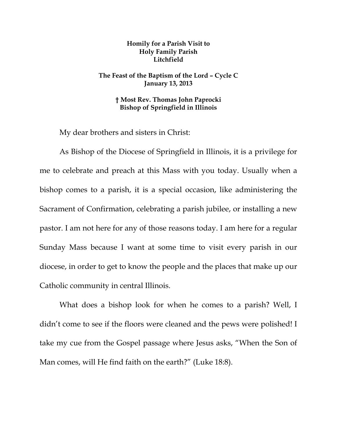## **Homily for a Parish Visit to Holy Family Parish Litchfield**

## **The Feast of the Baptism of the Lord – Cycle C January 13, 2013**

## **† Most Rev. Thomas John Paprocki Bishop of Springfield in Illinois**

My dear brothers and sisters in Christ:

As Bishop of the Diocese of Springfield in Illinois, it is a privilege for me to celebrate and preach at this Mass with you today. Usually when a bishop comes to a parish, it is a special occasion, like administering the Sacrament of Confirmation, celebrating a parish jubilee, or installing a new pastor. I am not here for any of those reasons today. I am here for a regular Sunday Mass because I want at some time to visit every parish in our diocese, in order to get to know the people and the places that make up our Catholic community in central Illinois.

What does a bishop look for when he comes to a parish? Well, I didn't come to see if the floors were cleaned and the pews were polished! I take my cue from the Gospel passage where Jesus asks, "When the Son of Man comes, will He find faith on the earth?" (Luke 18:8).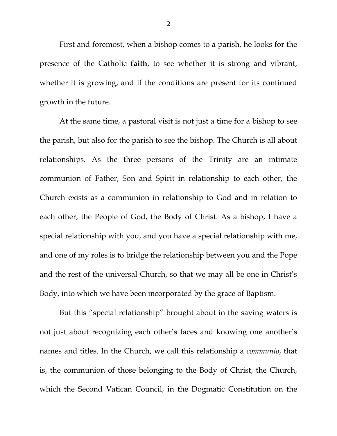First and foremost, when a bishop comes to a parish, he looks for the presence of the Catholic **faith**, to see whether it is strong and vibrant, whether it is growing, and if the conditions are present for its continued growth in the future.

At the same time, a pastoral visit is not just a time for a bishop to see the parish, but also for the parish to see the bishop. The Church is all about relationships. As the three persons of the Trinity are an intimate communion of Father, Son and Spirit in relationship to each other, the Church exists as a communion in relationship to God and in relation to each other, the People of God, the Body of Christ. As a bishop, I have a special relationship with you, and you have a special relationship with me, and one of my roles is to bridge the relationship between you and the Pope and the rest of the universal Church, so that we may all be one in Christ's Body, into which we have been incorporated by the grace of Baptism.

But this "special relationship" brought about in the saving waters is not just about recognizing each other's faces and knowing one another's names and titles. In the Church, we call this relationship a *communio*, that is, the communion of those belonging to the Body of Christ, the Church, which the Second Vatican Council, in the Dogmatic Constitution on the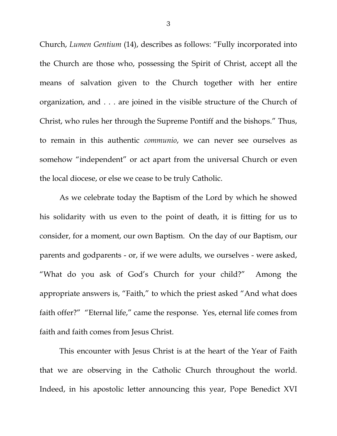Church, *Lumen Gentium* (14), describes as follows: "Fully incorporated into the Church are those who, possessing the Spirit of Christ, accept all the means of salvation given to the Church together with her entire organization, and . . . are joined in the visible structure of the Church of Christ, who rules her through the Supreme Pontiff and the bishops." Thus, to remain in this authentic *communio*, we can never see ourselves as somehow "independent" or act apart from the universal Church or even the local diocese, or else we cease to be truly Catholic.

 As we celebrate today the Baptism of the Lord by which he showed his solidarity with us even to the point of death, it is fitting for us to consider, for a moment, our own Baptism. On the day of our Baptism, our parents and godparents - or, if we were adults, we ourselves - were asked, "What do you ask of God's Church for your child?" Among the appropriate answers is, "Faith," to which the priest asked "And what does faith offer?" "Eternal life," came the response. Yes, eternal life comes from faith and faith comes from Jesus Christ.

 This encounter with Jesus Christ is at the heart of the Year of Faith that we are observing in the Catholic Church throughout the world. Indeed, in his apostolic letter announcing this year, Pope Benedict XVI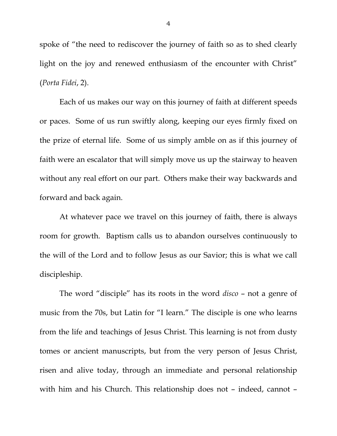spoke of "the need to rediscover the journey of faith so as to shed clearly light on the joy and renewed enthusiasm of the encounter with Christ" (*Porta Fidei*, 2).

 Each of us makes our way on this journey of faith at different speeds or paces. Some of us run swiftly along, keeping our eyes firmly fixed on the prize of eternal life. Some of us simply amble on as if this journey of faith were an escalator that will simply move us up the stairway to heaven without any real effort on our part. Others make their way backwards and forward and back again.

 At whatever pace we travel on this journey of faith, there is always room for growth. Baptism calls us to abandon ourselves continuously to the will of the Lord and to follow Jesus as our Savior; this is what we call discipleship.

The word "disciple" has its roots in the word *disco* – not a genre of music from the 70s, but Latin for "I learn." The disciple is one who learns from the life and teachings of Jesus Christ. This learning is not from dusty tomes or ancient manuscripts, but from the very person of Jesus Christ, risen and alive today, through an immediate and personal relationship with him and his Church. This relationship does not – indeed, cannot –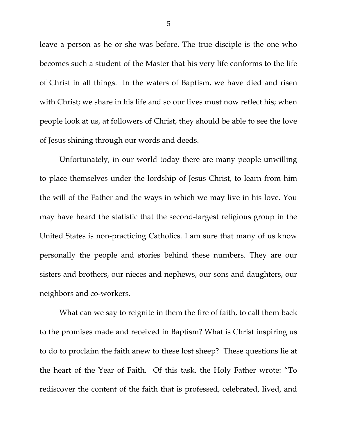leave a person as he or she was before. The true disciple is the one who becomes such a student of the Master that his very life conforms to the life of Christ in all things. In the waters of Baptism, we have died and risen with Christ; we share in his life and so our lives must now reflect his; when people look at us, at followers of Christ, they should be able to see the love of Jesus shining through our words and deeds.

Unfortunately, in our world today there are many people unwilling to place themselves under the lordship of Jesus Christ, to learn from him the will of the Father and the ways in which we may live in his love. You may have heard the statistic that the second-largest religious group in the United States is non-practicing Catholics. I am sure that many of us know personally the people and stories behind these numbers. They are our sisters and brothers, our nieces and nephews, our sons and daughters, our neighbors and co-workers.

What can we say to reignite in them the fire of faith, to call them back to the promises made and received in Baptism? What is Christ inspiring us to do to proclaim the faith anew to these lost sheep? These questions lie at the heart of the Year of Faith. Of this task, the Holy Father wrote: "To rediscover the content of the faith that is professed, celebrated, lived, and

5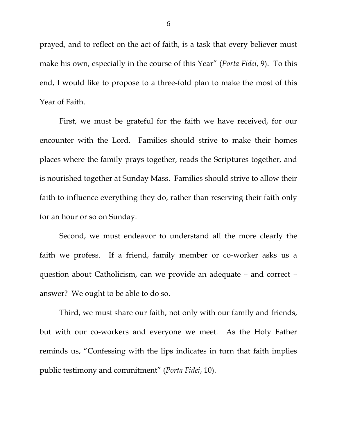prayed, and to reflect on the act of faith, is a task that every believer must make his own, especially in the course of this Year" (*Porta Fidei*, 9). To this end, I would like to propose to a three-fold plan to make the most of this Year of Faith.

 First, we must be grateful for the faith we have received, for our encounter with the Lord. Families should strive to make their homes places where the family prays together, reads the Scriptures together, and is nourished together at Sunday Mass. Families should strive to allow their faith to influence everything they do, rather than reserving their faith only for an hour or so on Sunday.

 Second, we must endeavor to understand all the more clearly the faith we profess. If a friend, family member or co-worker asks us a question about Catholicism, can we provide an adequate – and correct – answer? We ought to be able to do so.

 Third, we must share our faith, not only with our family and friends, but with our co-workers and everyone we meet. As the Holy Father reminds us, "Confessing with the lips indicates in turn that faith implies public testimony and commitment" (*Porta Fidei*, 10).